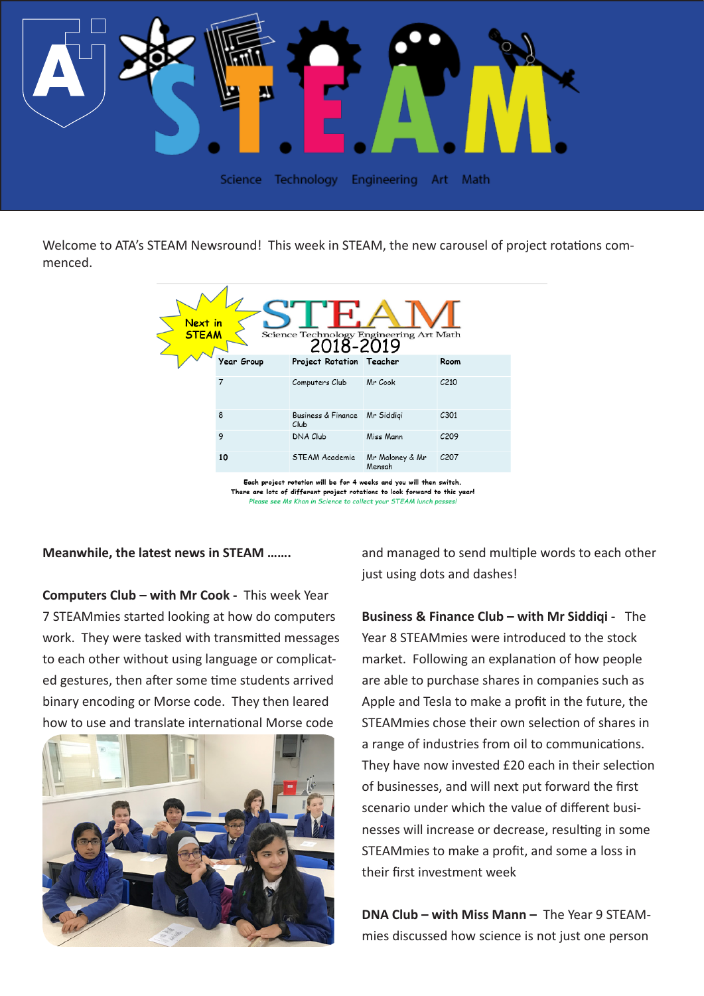

Welcome to ATA's STEAM Newsround! This week in STEAM, the new carousel of project rotations commenced.

| Year Group<br>Project Rotation Teacher<br>Room<br>7<br>C <sub>210</sub><br>Mr Cook<br>Computers Club<br>8<br>C301<br><b>Business &amp; Finance</b><br>Mr Siddigi<br>Club | Next in<br><b>STEAM</b><br>Science Technology Engineering Art Math<br>2018-2019 |   |                 |           |      |  |
|--------------------------------------------------------------------------------------------------------------------------------------------------------------------------|---------------------------------------------------------------------------------|---|-----------------|-----------|------|--|
|                                                                                                                                                                          |                                                                                 |   |                 |           |      |  |
|                                                                                                                                                                          |                                                                                 |   |                 |           |      |  |
|                                                                                                                                                                          |                                                                                 |   |                 |           |      |  |
|                                                                                                                                                                          |                                                                                 | 9 | <b>DNA Club</b> | Miss Mann | C209 |  |
| <b>STEAM Academia</b><br>10<br>C <sub>20</sub> 7<br>Mr Maloney & Mr<br>Mensah                                                                                            |                                                                                 |   |                 |           |      |  |

Each project rotation will be for 4 weeks and you will then switch. There are lots of different project rotations to look forward to this year! Please see Ms Khan in Science to collect your STEAM lunch passes!

**Meanwhile, the latest news in STEAM …….**

**Computers Club – with Mr Cook -** This week Year 7 STEAMmies started looking at how do computers work. They were tasked with transmitted messages to each other without using language or complicated gestures, then after some time students arrived binary encoding or Morse code. They then leared how to use and translate international Morse code



and managed to send multiple words to each other just using dots and dashes!

**Business & Finance Club – with Mr Siddiqi -** The Year 8 STEAMmies were introduced to the stock market. Following an explanation of how people are able to purchase shares in companies such as Apple and Tesla to make a profit in the future, the STEAMmies chose their own selection of shares in a range of industries from oil to communications. They have now invested £20 each in their selection of businesses, and will next put forward the first scenario under which the value of different businesses will increase or decrease, resulting in some STEAMmies to make a profit, and some a loss in their first investment week

**DNA Club – with Miss Mann –** The Year 9 STEAMmies discussed how science is not just one person